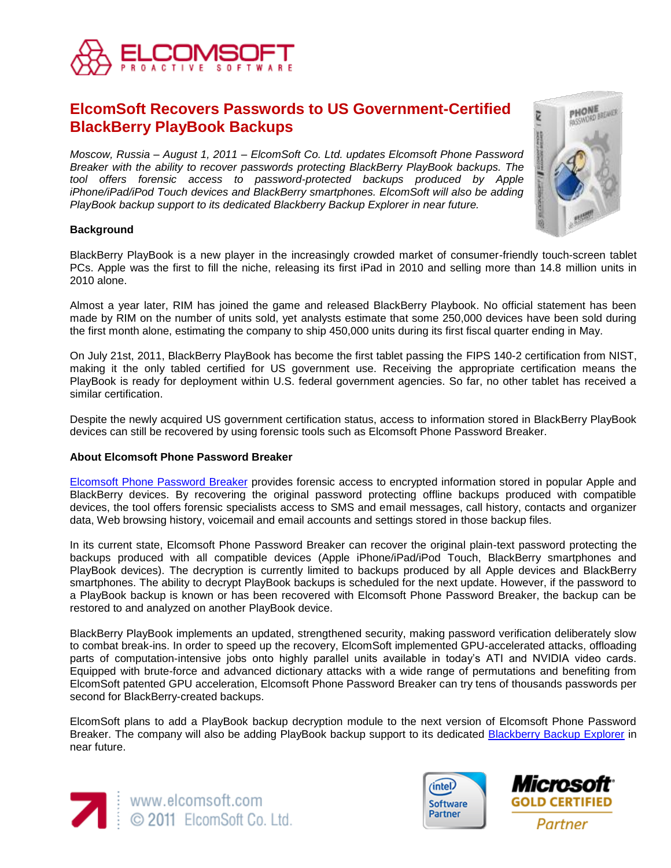

# **ElcomSoft Recovers Passwords to US Government-Certified BlackBerry PlayBook Backups**

*Moscow, Russia – August 1, 2011 – ElcomSoft Co. Ltd. updates Elcomsoft Phone Password Breaker with the ability to recover passwords protecting BlackBerry PlayBook backups. The tool offers forensic access to password-protected backups produced by Apple iPhone/iPad/iPod Touch devices and BlackBerry smartphones. ElcomSoft will also be adding PlayBook backup support to its dedicated Blackberry Backup Explorer in near future.*

## **Background**

BlackBerry PlayBook is a new player in the increasingly crowded market of consumer-friendly touch-screen tablet PCs. Apple was the first to fill the niche, releasing its first iPad in 2010 and selling more than 14.8 million units in 2010 alone.

Almost a year later, RIM has joined the game and released BlackBerry Playbook. No official statement has been made by RIM on the number of units sold, yet analysts estimate that some 250,000 devices have been sold during the first month alone, estimating the company to ship 450,000 units during its first fiscal quarter ending in May.

On July 21st, 2011, BlackBerry PlayBook has become the first tablet passing the FIPS 140-2 certification from NIST, making it the only tabled certified for US government use. Receiving the appropriate certification means the PlayBook is ready for deployment within U.S. federal government agencies. So far, no other tablet has received a similar certification.

Despite the newly acquired US government certification status, access to information stored in BlackBerry PlayBook devices can still be recovered by using forensic tools such as Elcomsoft Phone Password Breaker.

#### **About Elcomsoft Phone Password Breaker**

[Elcomsoft Phone Password Breaker](http://playbook.elcomsoft.com/) provides forensic access to encrypted information stored in popular Apple and BlackBerry devices. By recovering the original password protecting offline backups produced with compatible devices, the tool offers forensic specialists access to SMS and email messages, call history, contacts and organizer data, Web browsing history, voicemail and email accounts and settings stored in those backup files.

In its current state, Elcomsoft Phone Password Breaker can recover the original plain-text password protecting the backups produced with all compatible devices (Apple iPhone/iPad/iPod Touch, BlackBerry smartphones and PlayBook devices). The decryption is currently limited to backups produced by all Apple devices and BlackBerry smartphones. The ability to decrypt PlayBook backups is scheduled for the next update. However, if the password to a PlayBook backup is known or has been recovered with Elcomsoft Phone Password Breaker, the backup can be restored to and analyzed on another PlayBook device.

BlackBerry PlayBook implements an updated, strengthened security, making password verification deliberately slow to combat break-ins. In order to speed up the recovery, ElcomSoft implemented GPU-accelerated attacks, offloading parts of computation-intensive jobs onto highly parallel units available in today's ATI and NVIDIA video cards. Equipped with brute-force and advanced dictionary attacks with a wide range of permutations and benefiting from ElcomSoft patented GPU acceleration, Elcomsoft Phone Password Breaker can try tens of thousands passwords per second for BlackBerry-created backups.

ElcomSoft plans to add a PlayBook backup decryption module to the next version of Elcomsoft Phone Password Breaker. The company will also be adding PlayBook backup support to its dedicated [Blackberry Backup Explorer](http://www.elcomsoft.com/ebbe.html) in near future.